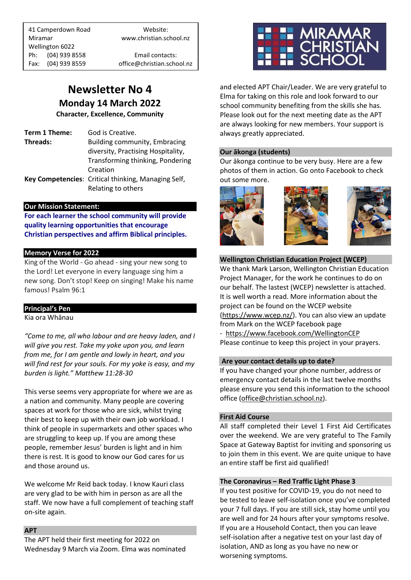41 Camperdown Road Website: Miramar www.christian.school.nz Wellington 6022 Ph: (04) 939 8558 Email contacts:

Fax: (04) 939 8559 office@christian.school.nz

## **Newsletter No 4 Monday 14 March 2022**

**Character, Excellence, Community**

**Term 1 Theme:** God is Creative. **Threads:** Building community, Embracing diversity, Practising Hospitality, Transforming thinking, Pondering Creation **Key Competencies**: Critical thinking, Managing Self, Relating to others

#### **Our Mission Statement:**

**For each learner the school community will provide quality learning opportunities that encourage Christian perspectives and affirm Biblical principles***.*

#### **Memory Verse for 2022**

King of the World - Go ahead - sing your new song to the Lord! Let everyone in every language sing him a new song. Don't stop! Keep on singing! Make his name famous! Psalm 96:1

#### **Principal's Pen**

Kia ora Whānau

*"Come to me, all who labour and are heavy laden, and I will give you rest. Take my yoke upon you, and learn from me, for I am gentle and lowly in heart, and you will find rest for your souls. For my yoke is easy, and my burden is light." Matthew 11:28-30*

This verse seems very appropriate for where we are as a nation and community. Many people are covering spaces at work for those who are sick, whilst trying their best to keep up with their own job workload. I think of people in supermarkets and other spaces who are struggling to keep up. If you are among these people, remember Jesus' burden is light and in him there is rest. It is good to know our God cares for us and those around us.

We welcome Mr Reid back today. I know Kauri class are very glad to be with him in person as are all the staff. We now have a full complement of teaching staff on-site again.

#### **APT**

The APT held their first meeting for 2022 on Wednesday 9 March via Zoom. Elma was nominated



and elected APT Chair/Leader. We are very grateful to Elma for taking on this role and look forward to our school community benefiting from the skills she has. Please look out for the next meeting date as the APT are always looking for new members. Your support is always greatly appreciated.

#### **Our ākonga (students)**

Our ākonga continue to be very busy. Here are a few photos of them in action. Go onto Facebook to check out some more.







#### **Wellington Christian Education Project (WCEP)**

We thank Mark Larson, Wellington Christian Education Project Manager, for the work he continues to do on our behalf. The lastest (WCEP) newsletter is attached. It is well worth a read. More information about the project can be found on the WCEP website [\(https://www.wcep.nz/\)](https://www.wcep.nz/). You can also view an update from Mark on the WCEP facebook page

- <https://www.facebook.com/WellingtonCEP> Please continue to keep this project in your prayers.

#### **Are your contact details up to date?**

If you have changed your phone number, address or emergency contact details in the last twelve months please ensure you send this information to the schoool office [\(office@christian.school.nz\)](mailto:office@christian.school.nz).

#### **First Aid Course**

All staff completed their Level 1 First Aid Certificates over the weekend. We are very grateful to The Family Space at Gateway Baptist for inviting and sponsoring us to join them in this event. We are quite unique to have an entire staff be first aid qualified!

#### **The Coronavirus – Red Traffic Light Phase 3**

If you test positive for COVID-19, you do not need to be tested to leave self-isolation once you've completed your 7 full days. If you are still sick, stay home until you are well and for 24 hours after your symptoms resolve. If you are a Household Contact, then you can leave self-isolation after a negative test on your last day of isolation, AND as long as you have no new or worsening symptoms.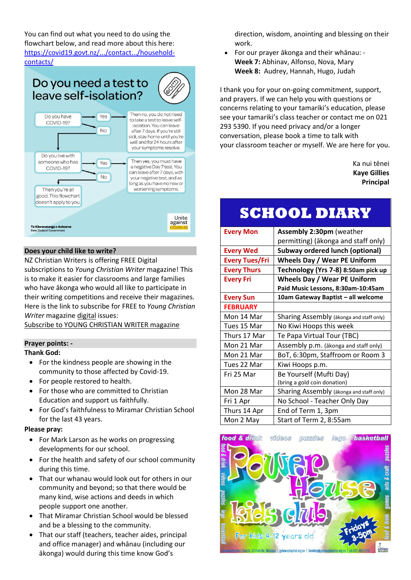You can find out what you need to do using the flowchart below, and read more about this here: [https://covid19.govt.nz/.../contact.../household](https://covid19.govt.nz/testing-and-tracing/contact-tracing/household-contacts/?fbclid=IwAR2oAWxvc70snmAii81-I6Y2mNDrCJhwm14scqjIrUr-KQ42RMO7yG7x7OU)[contacts/](https://covid19.govt.nz/testing-and-tracing/contact-tracing/household-contacts/?fbclid=IwAR2oAWxvc70snmAii81-I6Y2mNDrCJhwm14scqjIrUr-KQ42RMO7yG7x7OU)



#### **Does your child like to write?**

NZ Christian Writers is offering FREE Digital subscriptions to *Young Christian Writer* magazine! This is to make it easier for classrooms and large families who have ākonga who would all like to participate in their writing competitions and receive their magazines. Here is the link to subscribe for FREE to *Young Christian Writer* magazine digital issues:

Subscribe to YOUNG [CHRISTIAN](http://eepurl.com/hSQOhX) WRITER magazine

#### **Prayer points: -**

#### **Thank God:**

- For the kindness people are showing in the community to those affected by Covid-19.
- For people restored to health.
- For those who are committed to Christian Education and support us faithfully.
- For God's faithfulness to Miramar Christian School for the last 43 years.

#### **Please pray:**

- For Mark Larson as he works on progressing developments for our school.
- For the health and safety of our school community during this time.
- That our whanau would look out for others in our community and beyond; so that there would be many kind, wise actions and deeds in which people support one another.
- That Miramar Christian School would be blessed and be a blessing to the community.
- That our staff (teachers, teacher aides, principal and office manager) and whānau (including our ākonga) would during this time know God's

direction, wisdom, anointing and blessing on their work.

• For our prayer ākonga and their whānau: - **Week 7:** Abhinav, Alfonso, Nova, Mary **Week 8:** Audrey, Hannah, Hugo, Judah

I thank you for your on-going commitment, support, and prayers. If we can help you with questions or concerns relating to your tamariki's education, please see your tamariki's class teacher or contact me on 021 293 5390. If you need privacy and/or a longer conversation, please book a time to talk with your classroom teacher or myself. We are here for you.

> Ka nui tēnei **Kaye Gillies Principal**

# **SCHOOL DIARY**

| <b>Every Mon</b>      | <b>Assembly 2:30pm (weather</b>          |  |
|-----------------------|------------------------------------------|--|
|                       | permitting) (ākonga and staff only)      |  |
| <b>Every Wed</b>      | <b>Subway ordered lunch (optional)</b>   |  |
| <b>Every Tues/Fri</b> | <b>Wheels Day / Wear PE Uniform</b>      |  |
| <b>Every Thurs</b>    | Technology (Yrs 7-8) 8:50am pick up      |  |
| <b>Every Fri</b>      | <b>Wheels Day / Wear PE Uniform</b>      |  |
|                       | Paid Music Lessons, 8:30am-10:45am       |  |
| <b>Every Sun</b>      | 10am Gateway Baptist - all welcome       |  |
| <b>FEBRUARY</b>       |                                          |  |
| Mon 14 Mar            | Sharing Assembly (akonga and staff only) |  |
| Tues 15 Mar           | No Kiwi Hoops this week                  |  |
| Thurs 17 Mar          | Te Papa Virtual Tour (TBC)               |  |
| Mon 21 Mar            | Assembly p.m. (akonga and staff only)    |  |
| Mon 21 Mar            | BoT, 6:30pm, Staffroom or Room 3         |  |
| Tues 22 Mar           | Kiwi Hoops p.m.                          |  |
| Fri 25 Mar            | Be Yourself (Mufti Day)                  |  |
|                       | (bring a gold coin donation)             |  |
| Mon 28 Mar            | Sharing Assembly (akonga and staff only) |  |
| Fri 1 Apr             | No School - Teacher Only Day             |  |
| Thurs 14 Apr          | End of Term 1, 3pm                       |  |
| Mon 2 May             | Start of Term 2, 8:55am                  |  |